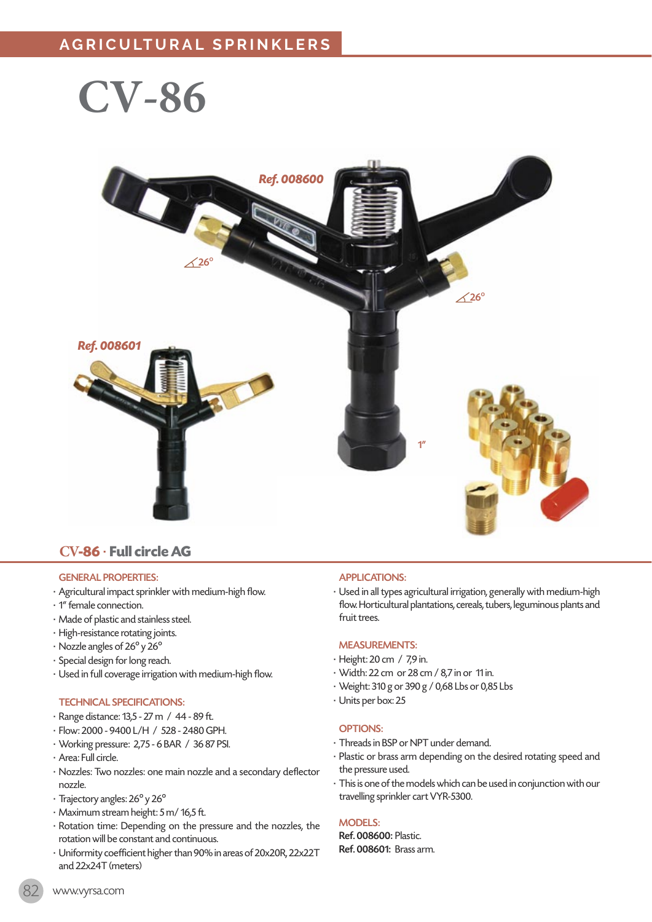**CV-86**



### **CV-86** · **Full circle AG**

#### GENERAL PROPERTIES:

- · Agricultural impact sprinkler with medium-high flow.
- · 1" female connection.
- · Made of plastic and stainless steel.
- · High-resistance rotating joints.
- · Nozzle angles of 26º y 26º
- · Special design for long reach.
- · Used in full coverage irrigation with medium-high flow.

#### TECHNICAL SPECIFICATIONS:

- · Range distance: 13,5 27 m / 44 89 ft.
- · Flow: 2000 9400 L/H / 528 2480 GPH.
- · Working pressure: 2,75 6 BAR / 36 87 PSI.
- · Area: Full circle.
- · Nozzles: Two nozzles: one main nozzle and a secondary deflector nozzle.
- · Trajectory angles: 26º y 26º
- · Maximum stream height: 5 m/ 16,5 ft.
- · Rotation time: Depending on the pressure and the nozzles, the rotation will be constant and continuous.
- · Uniformity coefficient higher than 90% in areas of 20x20R, 22x22T and 22x24T (meters)

#### APPLICATIONS:

· Used in all types agricultural irrigation, generally with medium-high flow. Horticultural plantations, cereals, tubers, leguminous plants and fruit trees.

#### MEASUREMENTS:

- · Height: 20 cm / 7,9 in.
- · Width: 22 cm or 28 cm / 8,7 in or 11 in.
- · Weight: 310 g or 390 g / 0,68 Lbs or 0,85 Lbs
- · Units per box: 25

#### OPTIONS:

- · Threads in BSP or NPT under demand.
- · Plastic or brass arm depending on the desired rotating speed and the pressure used.
- · This is one of the models which can be used in conjunction with our travelling sprinkler cart VYR-5300.

#### MODELS:

Ref. 008600: Plastic. Ref. 008601: Brass arm.